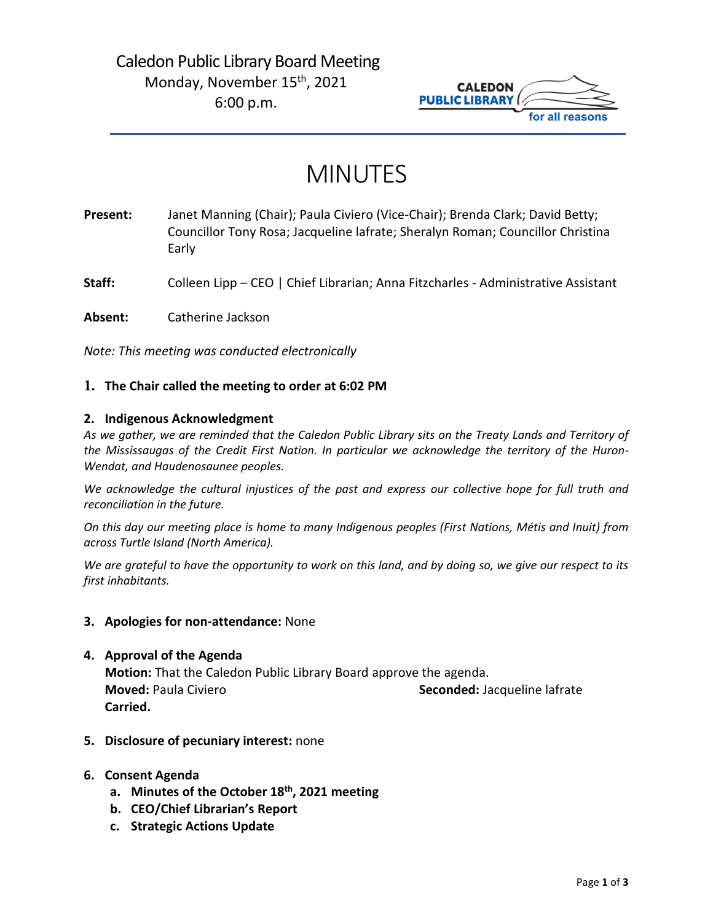# Caledon Public Library Board Meeting Monday, November 15<sup>th</sup>, 2021 6:00 p.m.



# MINUTES

**Present:** Janet Manning (Chair); Paula Civiero (Vice-Chair); Brenda Clark; David Betty; Councillor Tony Rosa; Jacqueline lafrate; Sheralyn Roman; Councillor Christina Early

**Staff:** Colleen Lipp – CEO | Chief Librarian; Anna Fitzcharles - Administrative Assistant

**Absent:** Catherine Jackson

*Note: This meeting was conducted electronically*

#### **1. The Chair called the meeting to order at 6:02 PM**

#### **2. Indigenous Acknowledgment**

*As we gather, we are reminded that the Caledon Public Library sits on the Treaty Lands and Territory of the Mississaugas of the Credit First Nation. In particular we acknowledge the territory of the Huron-Wendat, and Haudenosaunee peoples.*

*We acknowledge the cultural injustices of the past and express our collective hope for full truth and reconciliation in the future.*

*On this day our meeting place is home to many Indigenous peoples (First Nations, Métis and Inuit) from across Turtle Island (North America).*

*We are grateful to have the opportunity to work on this land, and by doing so, we give our respect to its first inhabitants.*

#### **3. Apologies for non-attendance:** None

- **4. Approval of the Agenda Motion:** That the Caledon Public Library Board approve the agenda. **Moved:** Paula Civiero **Seconded:** Jacqueline lafrate **Carried.**
- **5. Disclosure of pecuniary interest:** none
- **6. Consent Agenda**
	- **a. Minutes of the October 18th, 2021 meeting**
	- **b. CEO/Chief Librarian's Report**
	- **c. Strategic Actions Update**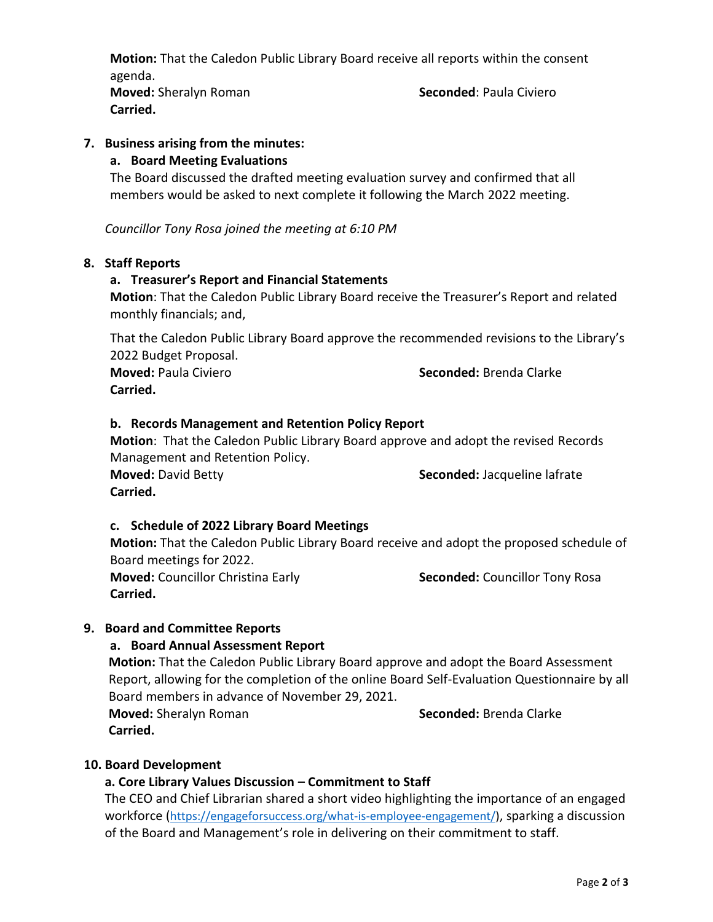**Motion:** That the Caledon Public Library Board receive all reports within the consent agenda.

**Moved:** Sheralyn Roman **Seconded**: Paula Civiero **Carried.** 

# **7. Business arising from the minutes:**

# **a. Board Meeting Evaluations**

The Board discussed the drafted meeting evaluation survey and confirmed that all members would be asked to next complete it following the March 2022 meeting.

*Councillor Tony Rosa joined the meeting at 6:10 PM*

#### **8. Staff Reports**

# **a. Treasurer's Report and Financial Statements**

**Motion**: That the Caledon Public Library Board receive the Treasurer's Report and related monthly financials; and,

That the Caledon Public Library Board approve the recommended revisions to the Library's 2022 Budget Proposal.

**Carried.**

**Moved:** Paula Civiero **Seconded:** Brenda Clarke

#### **b. Records Management and Retention Policy Report**

**Motion**: That the Caledon Public Library Board approve and adopt the revised Records Management and Retention Policy. **Moved:** David Betty **Seconded:** Jacqueline lafrate **Carried.** 

# **c. Schedule of 2022 Library Board Meetings**

**Motion:** That the Caledon Public Library Board receive and adopt the proposed schedule of Board meetings for 2022.

**Moved:** Councillor Christina Early **Seconded:** Councillor Tony Rosa **Carried.**

# **9. Board and Committee Reports**

# **a. Board Annual Assessment Report**

**Motion:** That the Caledon Public Library Board approve and adopt the Board Assessment Report, allowing for the completion of the online Board Self-Evaluation Questionnaire by all Board members in advance of November 29, 2021. **Moved:** Sheralyn Roman **Seconded: Brenda Clarke Seconded: Brenda Clarke** 

**Carried.**

# **10. Board Development**

# **a. Core Library Values Discussion – Commitment to Staff**

The CEO and Chief Librarian shared a short video highlighting the importance of an engaged workforce ([https://engageforsuccess.org/what-is-employee-engagement/\)](https://engageforsuccess.org/what-is-employee-engagement/), sparking a discussion of the Board and Management's role in delivering on their commitment to staff.